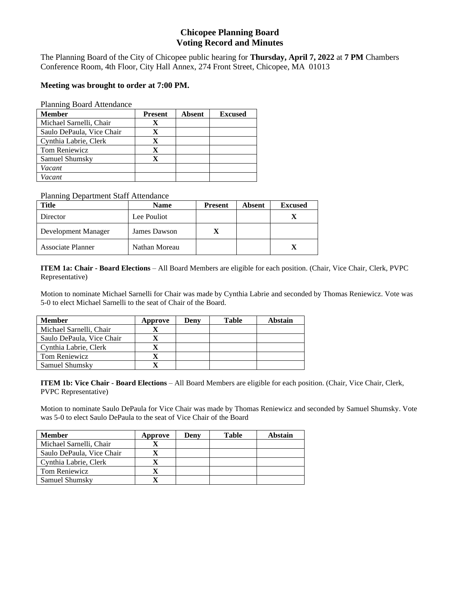# **Chicopee Planning Board Voting Record and Minutes**

The Planning Board of the City of Chicopee public hearing for **Thursday, April 7, 2022** at **7 PM** Chambers Conference Room, 4th Floor, City Hall Annex, 274 Front Street, Chicopee, MA 01013

# **Meeting was brought to order at 7:00 PM.**

### Planning Board Attendance

| <b>Member</b>             | <b>Present</b> | <b>Absent</b> | <b>Excused</b> |
|---------------------------|----------------|---------------|----------------|
| Michael Sarnelli, Chair   |                |               |                |
| Saulo DePaula, Vice Chair | x              |               |                |
| Cynthia Labrie, Clerk     | x              |               |                |
| <b>Tom Reniewicz</b>      | X              |               |                |
| Samuel Shumsky            |                |               |                |
| Vacant                    |                |               |                |
| Vacant                    |                |               |                |

## Planning Department Staff Attendance

| Title                    | Name          | <b>Present</b> | Absent | <b>Excused</b> |
|--------------------------|---------------|----------------|--------|----------------|
| Director                 | Lee Pouliot   |                |        |                |
| Development Manager      | James Dawson  |                |        |                |
| <b>Associate Planner</b> | Nathan Moreau |                |        | x              |

**ITEM 1a: Chair - Board Elections** – All Board Members are eligible for each position. (Chair, Vice Chair, Clerk, PVPC Representative)

Motion to nominate Michael Sarnelli for Chair was made by Cynthia Labrie and seconded by Thomas Reniewicz. Vote was 5-0 to elect Michael Sarnelli to the seat of Chair of the Board.

| <b>Member</b>             | Approve | Denv | <b>Table</b> | Abstain |
|---------------------------|---------|------|--------------|---------|
| Michael Sarnelli, Chair   |         |      |              |         |
| Saulo DePaula, Vice Chair |         |      |              |         |
| Cynthia Labrie, Clerk     |         |      |              |         |
| Tom Reniewicz             |         |      |              |         |
| Samuel Shumsky            |         |      |              |         |

**ITEM 1b: Vice Chair - Board Elections** – All Board Members are eligible for each position. (Chair, Vice Chair, Clerk, PVPC Representative)

Motion to nominate Saulo DePaula for Vice Chair was made by Thomas Reniewicz and seconded by Samuel Shumsky. Vote was 5-0 to elect Saulo DePaula to the seat of Vice Chair of the Board

| <b>Member</b>             | Approve | Denv | Table | Abstain |
|---------------------------|---------|------|-------|---------|
| Michael Sarnelli, Chair   |         |      |       |         |
| Saulo DePaula, Vice Chair |         |      |       |         |
| Cynthia Labrie, Clerk     |         |      |       |         |
| Tom Reniewicz             |         |      |       |         |
| Samuel Shumsky            |         |      |       |         |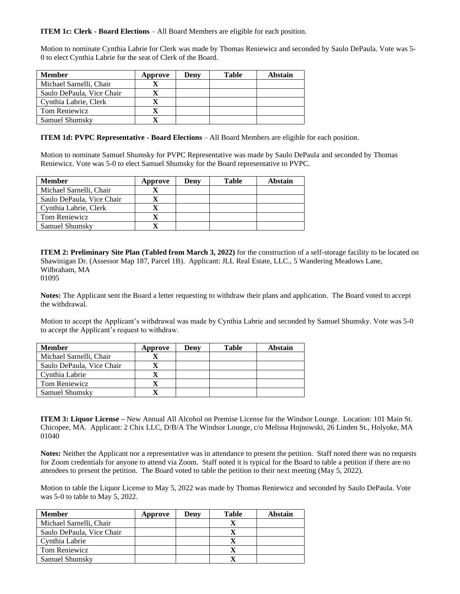**ITEM 1c: Clerk - Board Elections** – All Board Members are eligible for each position.

Motion to nominate Cynthia Labrie for Clerk was made by Thomas Reniewicz and seconded by Saulo DePaula. Vote was 5- 0 to elect Cynthia Labrie for the seat of Clerk of the Board.

| <b>Member</b>             | Approve | Denv | <b>Table</b> | <b>Abstain</b> |
|---------------------------|---------|------|--------------|----------------|
| Michael Sarnelli, Chair   |         |      |              |                |
| Saulo DePaula, Vice Chair |         |      |              |                |
| Cynthia Labrie, Clerk     |         |      |              |                |
| Tom Reniewicz             |         |      |              |                |
| Samuel Shumsky            |         |      |              |                |

**ITEM 1d: PVPC Representative - Board Elections** – All Board Members are eligible for each position.

Motion to nominate Samuel Shumsky for PVPC Representative was made by Saulo DePaula and seconded by Thomas Reniewicz. Vote was 5-0 to elect Samuel Shumsky for the Board representative to PVPC.

| <b>Member</b>             | Approve | Deny | Table | Abstain |
|---------------------------|---------|------|-------|---------|
| Michael Sarnelli, Chair   |         |      |       |         |
| Saulo DePaula, Vice Chair |         |      |       |         |
| Cynthia Labrie, Clerk     |         |      |       |         |
| Tom Reniewicz             |         |      |       |         |
| Samuel Shumsky            |         |      |       |         |

**ITEM 2: Preliminary Site Plan (Tabled from March 3, 2022)** for the construction of a self-storage facility to be located on Shawinigan Dr. (Assessor Map 187, Parcel 1B). Applicant: JLL Real Estate, LLC., 5 Wandering Meadows Lane, Wilbraham, MA

01095

**Notes:** The Applicant sent the Board a letter requesting to withdraw their plans and application. The Board voted to accept the withdrawal.

Motion to accept the Applicant's withdrawal was made by Cynthia Labrie and seconded by Samuel Shumsky. Vote was 5-0 to accept the Applicant's request to withdraw.

| <b>Member</b>             | Approve | Deny | <b>Table</b> | Abstain |
|---------------------------|---------|------|--------------|---------|
| Michael Sarnelli, Chair   |         |      |              |         |
| Saulo DePaula, Vice Chair |         |      |              |         |
| Cynthia Labrie            |         |      |              |         |
| Tom Reniewicz             |         |      |              |         |
| Samuel Shumsky            |         |      |              |         |

**ITEM 3: Liquor License –** New Annual All Alcohol on Premise License for the Windsor Lounge. Location: 101 Main St. Chicopee, MA. Applicant: 2 Chix LLC, D/B/A The Windsor Lounge, c/o Melissa Hojnowski, 26 Linden St., Holyoke, MA 01040

**Notes:** Neither the Applicant nor a representative was in attendance to present the petition. Staff noted there was no requests for Zoom credentials for anyone to attend via Zoom. Staff noted it is typical for the Board to table a petition if there are no attendees to present the petition. The Board voted to table the petition to their next meeting (May 5, 2022).

Motion to table the Liquor License to May 5, 2022 was made by Thomas Reniewicz and seconded by Saulo DePaula. Vote was 5-0 to table to May 5, 2022.

| <b>Member</b>             | Approve | Denv | <b>Table</b> | Abstain |
|---------------------------|---------|------|--------------|---------|
| Michael Sarnelli, Chair   |         |      |              |         |
| Saulo DePaula, Vice Chair |         |      |              |         |
| Cynthia Labrie            |         |      |              |         |
| Tom Reniewicz             |         |      |              |         |
| Samuel Shumsky            |         |      |              |         |